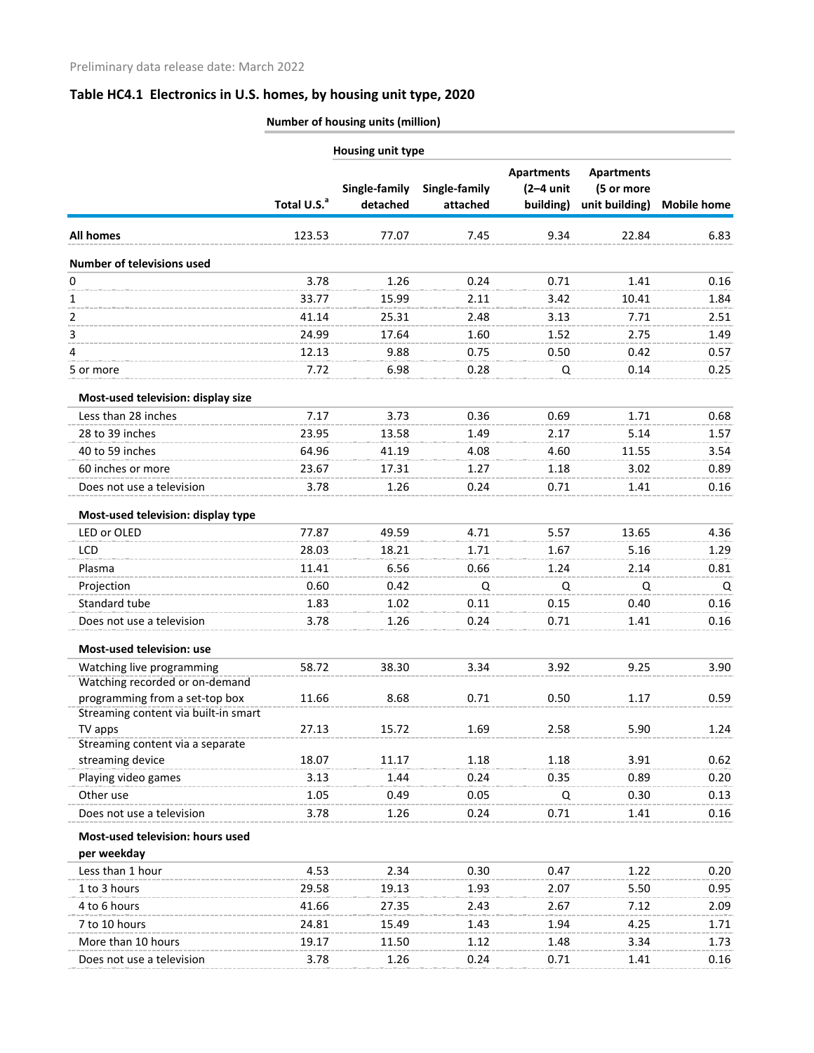|                                                                        | Number of housing units (million) |                           |                           |                                               |                                                   |                    |  |  |
|------------------------------------------------------------------------|-----------------------------------|---------------------------|---------------------------|-----------------------------------------------|---------------------------------------------------|--------------------|--|--|
|                                                                        | <b>Housing unit type</b>          |                           |                           |                                               |                                                   |                    |  |  |
|                                                                        | Total U.S. <sup>a</sup>           | Single-family<br>detached | Single-family<br>attached | <b>Apartments</b><br>$(2-4$ unit<br>building) | <b>Apartments</b><br>(5 or more<br>unit building) | <b>Mobile home</b> |  |  |
| <b>All homes</b>                                                       | 123.53                            | 77.07                     | 7.45                      | 9.34                                          | 22.84                                             | 6.83               |  |  |
| <b>Number of televisions used</b>                                      |                                   |                           |                           |                                               |                                                   |                    |  |  |
| $\mathbf 0$                                                            | 3.78                              | 1.26                      | 0.24                      | 0.71                                          | 1.41                                              | 0.16               |  |  |
| 1                                                                      | 33.77                             | 15.99                     | 2.11                      | 3.42                                          | 10.41                                             | 1.84               |  |  |
| 2                                                                      | 41.14                             | 25.31                     | 2.48                      | 3.13                                          | 7.71                                              | 2.51               |  |  |
| 3                                                                      | 24.99                             | 17.64                     | 1.60                      | 1.52                                          | 2.75                                              | 1.49               |  |  |
| 4                                                                      | 12.13                             | 9.88                      | 0.75                      | 0.50                                          | 0.42                                              | 0.57               |  |  |
| 5 or more                                                              | 7.72                              | 6.98                      | 0.28                      | Q                                             | 0.14                                              | 0.25               |  |  |
| Most-used television: display size                                     |                                   |                           |                           |                                               |                                                   |                    |  |  |
| Less than 28 inches                                                    | 7.17                              | 3.73                      | 0.36                      | 0.69                                          | 1.71                                              | 0.68               |  |  |
| 28 to 39 inches                                                        | 23.95                             | 13.58                     | 1.49                      | 2.17                                          | 5.14                                              | 1.57               |  |  |
| 40 to 59 inches                                                        | 64.96                             | 41.19                     | 4.08                      | 4.60                                          | 11.55                                             | 3.54               |  |  |
| 60 inches or more                                                      | 23.67                             | 17.31                     | 1.27                      | 1.18                                          | 3.02                                              | 0.89               |  |  |
| Does not use a television                                              | 3.78                              | 1.26                      | 0.24                      | 0.71                                          | 1.41                                              | 0.16               |  |  |
| Most-used television: display type                                     |                                   |                           |                           |                                               |                                                   |                    |  |  |
| LED or OLED                                                            | 77.87                             | 49.59                     | 4.71                      | 5.57                                          | 13.65                                             | 4.36               |  |  |
| LCD                                                                    | 28.03                             | 18.21                     | 1.71                      | 1.67                                          | 5.16                                              | 1.29               |  |  |
| Plasma                                                                 | 11.41                             | 6.56                      | 0.66                      | 1.24                                          | 2.14                                              | 0.81               |  |  |
| Projection                                                             | 0.60                              | 0.42                      | Q                         | Q                                             | Q                                                 | Q                  |  |  |
| Standard tube                                                          | 1.83                              | 1.02                      | 0.11                      | 0.15                                          | 0.40                                              | 0.16               |  |  |
| Does not use a television                                              | 3.78                              | 1.26                      | 0.24                      | 0.71                                          | 1.41                                              | 0.16               |  |  |
| Most-used television: use                                              |                                   |                           |                           |                                               |                                                   |                    |  |  |
| Watching live programming                                              | 58.72                             | 38.30                     | 3.34                      | 3.92                                          | 9.25                                              | 3.90               |  |  |
| Watching recorded or on-demand                                         |                                   |                           |                           |                                               |                                                   |                    |  |  |
| programming from a set-top box<br>Streaming content via built-in smart | 11.66                             | 8.68                      | 0.71                      | 0.50                                          | 1.17                                              | 0.59               |  |  |
| TV apps                                                                | 27.13                             | 15.72                     | 1.69                      | 2.58                                          | 5.90                                              | 1.24               |  |  |
| Streaming content via a separate                                       |                                   |                           |                           |                                               |                                                   |                    |  |  |
| streaming device                                                       | 18.07                             | 11.17                     | 1.18                      | 1.18                                          | 3.91                                              | 0.62               |  |  |
| Playing video games                                                    | 3.13                              | 1.44                      | 0.24                      | 0.35                                          | 0.89                                              | 0.20               |  |  |
| Other use                                                              | 1.05                              | 0.49                      | 0.05                      | Q                                             | 0.30                                              | 0.13               |  |  |
| Does not use a television                                              | 3.78                              | 1.26                      | 0.24                      | 0.71                                          | 1.41                                              | 0.16               |  |  |
| Most-used television: hours used                                       |                                   |                           |                           |                                               |                                                   |                    |  |  |
| per weekday                                                            |                                   |                           |                           |                                               |                                                   |                    |  |  |
| Less than 1 hour                                                       | 4.53                              | 2.34                      | 0.30                      | 0.47                                          | 1.22                                              | 0.20               |  |  |
| 1 to 3 hours                                                           | 29.58                             | 19.13                     | 1.93                      | 2.07                                          | 5.50                                              | 0.95               |  |  |
| 4 to 6 hours                                                           | 41.66                             | 27.35                     | 2.43                      | 2.67                                          | 7.12                                              | 2.09               |  |  |
| 7 to 10 hours                                                          | 24.81                             | 15.49                     | 1.43                      | 1.94                                          | 4.25                                              | 1.71               |  |  |
| More than 10 hours                                                     | 19.17                             | 11.50                     | 1.12                      | 1.48                                          | 3.34                                              | 1.73               |  |  |
| Does not use a television                                              | 3.78                              | 1.26                      | 0.24                      | 0.71                                          | 1.41                                              | 0.16               |  |  |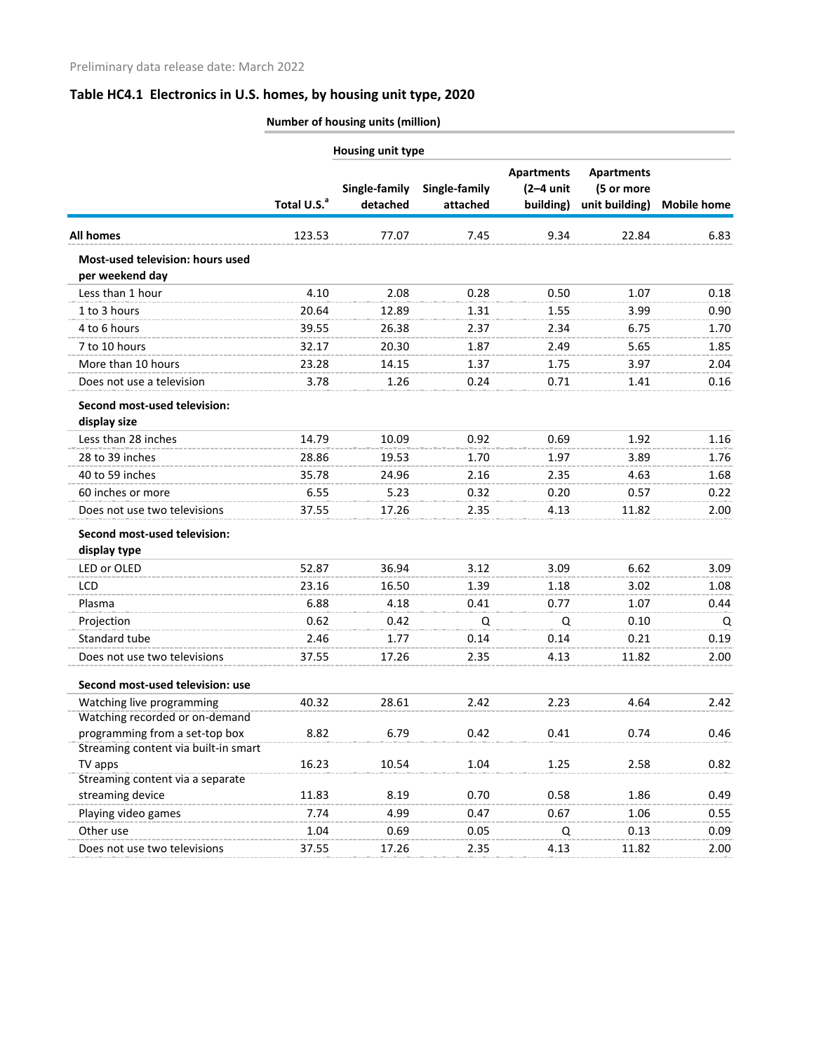|                                                     |                         | <b>Housing unit type</b>  |                           |                                               |                                                   |                    |
|-----------------------------------------------------|-------------------------|---------------------------|---------------------------|-----------------------------------------------|---------------------------------------------------|--------------------|
|                                                     | Total U.S. <sup>a</sup> | Single-family<br>detached | Single-family<br>attached | <b>Apartments</b><br>$(2-4$ unit<br>building) | <b>Apartments</b><br>(5 or more<br>unit building) | <b>Mobile home</b> |
| <b>All homes</b>                                    | 123.53                  | 77.07                     | 7.45                      | 9.34                                          | 22.84                                             | 6.83               |
| Most-used television: hours used<br>per weekend day |                         |                           |                           |                                               |                                                   |                    |
| Less than 1 hour                                    | 4.10                    | 2.08                      | 0.28                      | 0.50                                          | 1.07                                              | 0.18               |
| 1 to 3 hours                                        | 20.64                   | 12.89                     | 1.31                      | 1.55                                          | 3.99                                              | 0.90               |
| 4 to 6 hours                                        | 39.55                   | 26.38                     | 2.37                      | 2.34                                          | 6.75                                              | 1.70               |
| 7 to 10 hours                                       | 32.17                   | 20.30                     | 1.87                      | 2.49                                          | 5.65                                              | 1.85               |
| More than 10 hours                                  | 23.28                   | 14.15                     | 1.37                      | 1.75                                          | 3.97                                              | 2.04               |
| Does not use a television                           | 3.78                    | 1.26                      | 0.24                      | 0.71                                          | 1.41                                              | 0.16               |
| Second most-used television:<br>display size        |                         |                           |                           |                                               |                                                   |                    |
| Less than 28 inches                                 | 14.79                   | 10.09                     | 0.92                      | 0.69                                          | 1.92                                              | 1.16               |
| 28 to 39 inches                                     | 28.86                   | 19.53                     | 1.70                      | 1.97                                          | 3.89                                              | 1.76               |
| 40 to 59 inches                                     | 35.78                   | 24.96                     | 2.16                      | 2.35                                          | 4.63                                              | 1.68               |
| 60 inches or more                                   | 6.55                    | 5.23                      | 0.32                      | 0.20                                          | 0.57                                              | 0.22               |
| Does not use two televisions                        | 37.55                   | 17.26                     | 2.35                      | 4.13                                          | 11.82                                             | 2.00               |
| Second most-used television:<br>display type        |                         |                           |                           |                                               |                                                   |                    |
| LED or OLED                                         | 52.87                   | 36.94                     | 3.12                      | 3.09                                          | 6.62                                              | 3.09               |
| <b>LCD</b>                                          | 23.16                   | 16.50                     | 1.39                      | 1.18                                          | 3.02                                              | 1.08               |
| Plasma                                              | 6.88                    | 4.18                      | 0.41                      | 0.77                                          | 1.07                                              | 0.44               |
| Projection                                          | 0.62                    | 0.42                      | Q                         | Q                                             | 0.10                                              | Q                  |
| Standard tube                                       | 2.46                    | 1.77                      | 0.14                      | 0.14                                          | 0.21                                              | 0.19               |
| Does not use two televisions                        | 37.55                   | 17.26                     | 2.35                      | 4.13                                          | 11.82                                             | 2.00               |
| Second most-used television: use                    |                         |                           |                           |                                               |                                                   |                    |
| Watching live programming                           | 40.32                   | 28.61                     | 2.42                      | 2.23                                          | 4.64                                              | 2.42               |
| Watching recorded or on-demand                      |                         |                           |                           |                                               |                                                   |                    |
| programming from a set-top box                      | 8.82                    | 6.79                      | 0.42                      | 0.41                                          | 0.74                                              | 0.46               |
| Streaming content via built-in smart                |                         |                           |                           |                                               |                                                   |                    |
| TV apps<br>Streaming content via a separate         | 16.23                   | 10.54                     | 1.04                      | 1.25                                          | 2.58                                              | 0.82               |
| streaming device                                    | 11.83                   | 8.19                      | 0.70                      | 0.58                                          | 1.86                                              | 0.49               |
| Playing video games                                 | 7.74                    | 4.99                      | 0.47                      | 0.67                                          | 1.06                                              | 0.55               |
| Other use                                           | 1.04                    | 0.69                      | 0.05                      | Q                                             | 0.13                                              | 0.09               |
| Does not use two televisions                        | 37.55                   | 17.26                     | 2.35                      | 4.13                                          | 11.82                                             | 2.00               |
|                                                     |                         |                           |                           |                                               |                                                   |                    |

**Number of housing units (million)**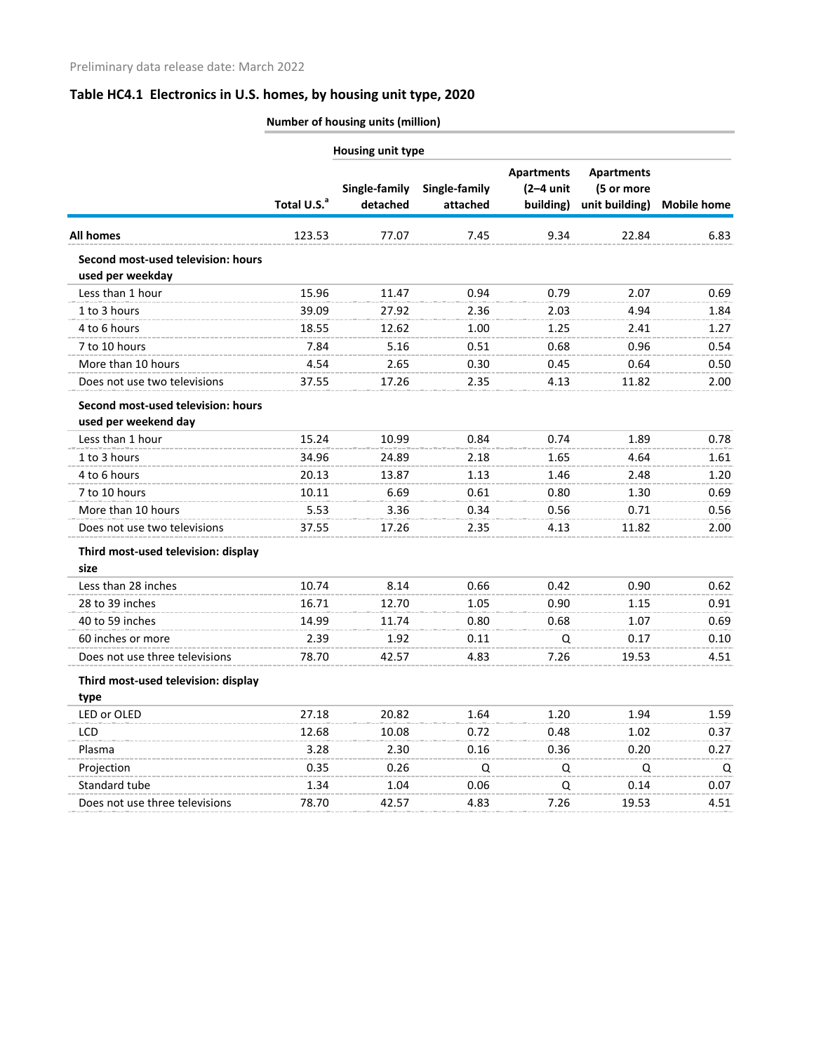|                                                            | Number of housing units (million) |                           |                           |                                               |                                                   |                    |  |  |
|------------------------------------------------------------|-----------------------------------|---------------------------|---------------------------|-----------------------------------------------|---------------------------------------------------|--------------------|--|--|
|                                                            | Housing unit type                 |                           |                           |                                               |                                                   |                    |  |  |
|                                                            | Total U.S. <sup>a</sup>           | Single-family<br>detached | Single-family<br>attached | <b>Apartments</b><br>$(2-4$ unit<br>building) | <b>Apartments</b><br>(5 or more<br>unit building) | <b>Mobile home</b> |  |  |
| <b>All homes</b>                                           | 123.53                            | 77.07                     | 7.45                      | 9.34                                          | 22.84                                             | 6.83               |  |  |
| Second most-used television: hours<br>used per weekday     |                                   |                           |                           |                                               |                                                   |                    |  |  |
| Less than 1 hour                                           | 15.96                             | 11.47                     | 0.94                      | 0.79                                          | 2.07                                              | 0.69               |  |  |
| 1 to 3 hours                                               | 39.09                             | 27.92                     | 2.36                      | 2.03                                          | 4.94                                              | 1.84               |  |  |
| 4 to 6 hours                                               | 18.55                             | 12.62                     | 1.00                      | 1.25                                          | 2.41                                              | 1.27               |  |  |
| 7 to 10 hours                                              | 7.84                              | 5.16                      | 0.51                      | 0.68                                          | 0.96                                              | 0.54               |  |  |
| More than 10 hours                                         | 4.54                              | 2.65                      | 0.30                      | 0.45                                          | 0.64                                              | 0.50               |  |  |
| Does not use two televisions                               | 37.55                             | 17.26                     | 2.35                      | 4.13                                          | 11.82                                             | 2.00               |  |  |
| Second most-used television: hours<br>used per weekend day |                                   |                           |                           |                                               |                                                   |                    |  |  |
| Less than 1 hour                                           | 15.24                             | 10.99                     | 0.84                      | 0.74                                          | 1.89                                              | 0.78               |  |  |
| 1 to 3 hours                                               | 34.96                             | 24.89                     | 2.18                      | 1.65                                          | 4.64                                              | 1.61               |  |  |
| 4 to 6 hours                                               | 20.13                             | 13.87                     | 1.13                      | 1.46                                          | 2.48                                              | 1.20               |  |  |
| 7 to 10 hours                                              | 10.11                             | 6.69                      | 0.61                      | 0.80                                          | 1.30                                              | 0.69               |  |  |
| More than 10 hours                                         | 5.53                              | 3.36                      | 0.34                      | 0.56                                          | 0.71                                              | 0.56               |  |  |
| Does not use two televisions                               | 37.55                             | 17.26                     | 2.35                      | 4.13                                          | 11.82                                             | 2.00               |  |  |
| Third most-used television: display<br>size                |                                   |                           |                           |                                               |                                                   |                    |  |  |
| Less than 28 inches                                        | 10.74                             | 8.14                      | 0.66                      | 0.42                                          | 0.90                                              | 0.62               |  |  |
| 28 to 39 inches                                            | 16.71                             | 12.70                     | 1.05                      | 0.90                                          | 1.15                                              | 0.91               |  |  |
| 40 to 59 inches                                            | 14.99                             | 11.74                     | 0.80                      | 0.68                                          | 1.07                                              | 0.69               |  |  |
| 60 inches or more                                          | 2.39                              | 1.92                      | 0.11                      | Q                                             | 0.17                                              | 0.10               |  |  |
| Does not use three televisions                             | 78.70                             | 42.57                     | 4.83                      | 7.26                                          | 19.53                                             | 4.51               |  |  |
| Third most-used television: display<br>type                |                                   |                           |                           |                                               |                                                   |                    |  |  |
| LED or OLED                                                | 27.18                             | 20.82                     | 1.64                      | 1.20                                          | 1.94                                              | 1.59               |  |  |
| LCD                                                        | 12.68                             | 10.08                     | 0.72                      | 0.48                                          | 1.02                                              | 0.37               |  |  |
| Plasma                                                     | 3.28                              | 2.30                      | 0.16                      | 0.36                                          | 0.20                                              | 0.27               |  |  |
| Projection                                                 | 0.35                              | 0.26                      | Q                         | Q                                             | Q                                                 | Q                  |  |  |
| Standard tube                                              | 1.34                              | 1.04                      | 0.06                      | Q                                             | 0.14                                              | 0.07               |  |  |
| Does not use three televisions                             | 78.70                             | 42.57                     | 4.83                      | 7.26                                          | 19.53                                             | 4.51               |  |  |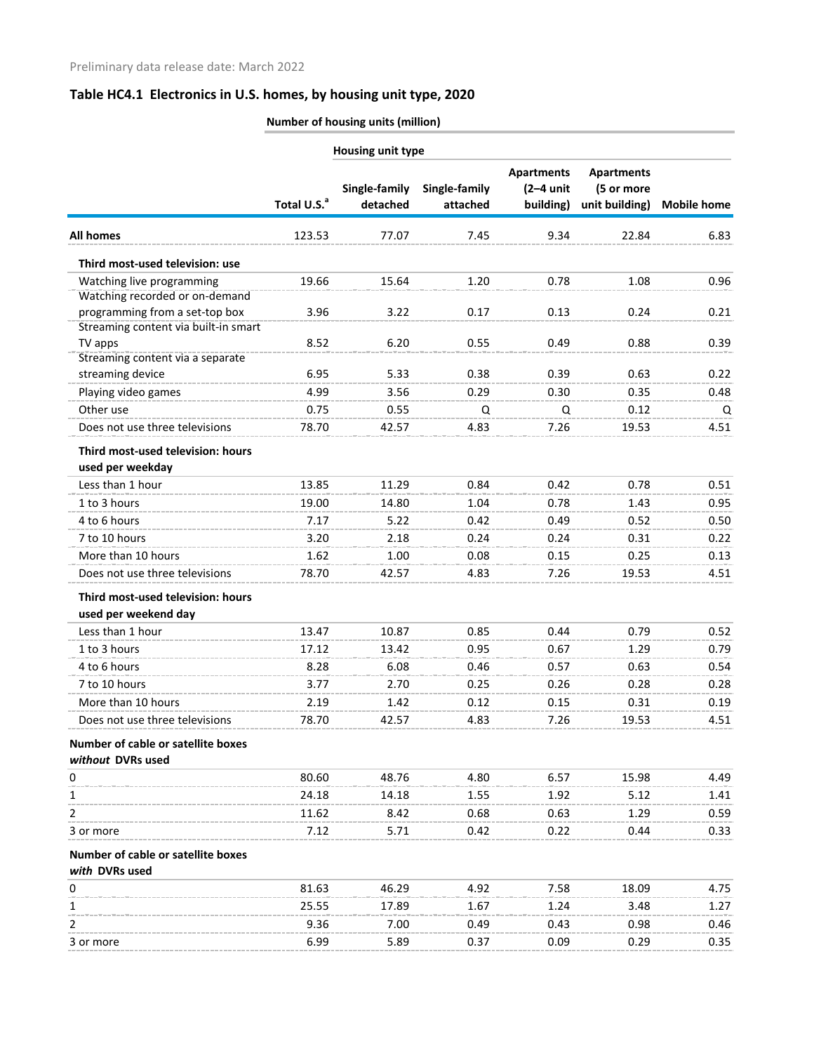|                                                         | Number of housing units (million) |                           |                           |                                               |                                                   |                    |  |
|---------------------------------------------------------|-----------------------------------|---------------------------|---------------------------|-----------------------------------------------|---------------------------------------------------|--------------------|--|
|                                                         | Housing unit type                 |                           |                           |                                               |                                                   |                    |  |
|                                                         | Total U.S. <sup>a</sup>           | Single-family<br>detached | Single-family<br>attached | <b>Apartments</b><br>$(2-4$ unit<br>building) | <b>Apartments</b><br>(5 or more<br>unit building) | <b>Mobile home</b> |  |
| <b>All homes</b>                                        | 123.53                            | 77.07                     | 7.45                      | 9.34                                          | 22.84                                             | 6.83               |  |
| Third most-used television: use                         |                                   |                           |                           |                                               |                                                   |                    |  |
| Watching live programming                               | 19.66                             | 15.64                     | 1.20                      | 0.78                                          | 1.08                                              | 0.96               |  |
| Watching recorded or on-demand                          |                                   |                           |                           |                                               |                                                   |                    |  |
| programming from a set-top box                          | 3.96                              | 3.22                      | 0.17                      | 0.13                                          | 0.24                                              | 0.21               |  |
| Streaming content via built-in smart                    |                                   |                           |                           |                                               |                                                   |                    |  |
| TV apps<br>Streaming content via a separate             | 8.52                              | 6.20                      | 0.55                      | 0.49                                          | 0.88                                              | 0.39               |  |
| streaming device                                        | 6.95                              | 5.33                      | 0.38                      | 0.39                                          | 0.63                                              | 0.22               |  |
| Playing video games                                     | 4.99                              | 3.56                      | 0.29                      | 0.30                                          | 0.35                                              | 0.48               |  |
| Other use                                               | 0.75                              | 0.55                      | Q                         | Q                                             | 0.12                                              | Q                  |  |
| Does not use three televisions                          | 78.70                             | 42.57                     | 4.83                      | 7.26                                          | 19.53                                             | 4.51               |  |
| Third most-used television: hours                       |                                   |                           |                           |                                               |                                                   |                    |  |
| used per weekday                                        |                                   |                           |                           |                                               |                                                   |                    |  |
| Less than 1 hour                                        | 13.85                             | 11.29                     | 0.84                      | 0.42                                          | 0.78                                              | 0.51               |  |
| 1 to 3 hours                                            | 19.00                             | 14.80                     | 1.04                      | 0.78                                          | 1.43                                              | 0.95               |  |
| 4 to 6 hours                                            | 7.17                              | 5.22                      | 0.42                      | 0.49                                          | 0.52                                              | 0.50               |  |
| 7 to 10 hours                                           | 3.20                              | 2.18                      | 0.24                      | 0.24                                          | 0.31                                              | 0.22               |  |
| More than 10 hours                                      | 1.62                              | 1.00                      | 0.08                      | 0.15                                          | 0.25                                              | 0.13               |  |
| Does not use three televisions                          | 78.70                             | 42.57                     | 4.83                      | 7.26                                          | 19.53                                             | 4.51               |  |
| Third most-used television: hours                       |                                   |                           |                           |                                               |                                                   |                    |  |
| used per weekend day                                    |                                   |                           |                           |                                               |                                                   |                    |  |
| Less than 1 hour                                        | 13.47                             | 10.87                     | 0.85                      | 0.44                                          | 0.79                                              | 0.52               |  |
| 1 to 3 hours                                            | 17.12                             | 13.42                     | 0.95                      | 0.67                                          | 1.29                                              | 0.79               |  |
| 4 to 6 hours                                            | 8.28                              | 6.08                      | 0.46                      | 0.57                                          | 0.63                                              | 0.54               |  |
| 7 to 10 hours                                           | 3.77                              | 2.70                      | 0.25                      | 0.26                                          | 0.28                                              | 0.28               |  |
| More than 10 hours                                      | 2.19                              | 1.42                      | 0.12                      | 0.15                                          | 0.31                                              | 0.19               |  |
| Does not use three televisions                          | 78.70                             | 42.57                     | 4.83                      | 7.26                                          | 19.53                                             | 4.51               |  |
| Number of cable or satellite boxes<br>without DVRs used |                                   |                           |                           |                                               |                                                   |                    |  |
| 0                                                       | 80.60                             | 48.76                     | 4.80                      | 6.57                                          | 15.98                                             | 4.49               |  |
| 1                                                       | 24.18                             | 14.18                     | 1.55                      | 1.92                                          | 5.12                                              | 1.41               |  |
| 2                                                       | 11.62                             | 8.42                      | 0.68                      | 0.63                                          | 1.29                                              | 0.59               |  |
| 3 or more                                               | 7.12                              | 5.71                      | 0.42                      | 0.22                                          | 0.44                                              | 0.33               |  |
| Number of cable or satellite boxes                      |                                   |                           |                           |                                               |                                                   |                    |  |
| with DVRs used<br>0                                     | 81.63                             | 46.29                     | 4.92                      | 7.58                                          | 18.09                                             | 4.75               |  |
| 1                                                       | 25.55                             | 17.89                     | 1.67                      | 1.24                                          | 3.48                                              | 1.27               |  |
| 2                                                       | 9.36                              | 7.00                      | 0.49                      | 0.43                                          | 0.98                                              | 0.46               |  |
| 3 or more                                               | 6.99                              | 5.89                      | 0.37                      | 0.09                                          | 0.29                                              | 0.35               |  |
|                                                         |                                   |                           |                           |                                               |                                                   |                    |  |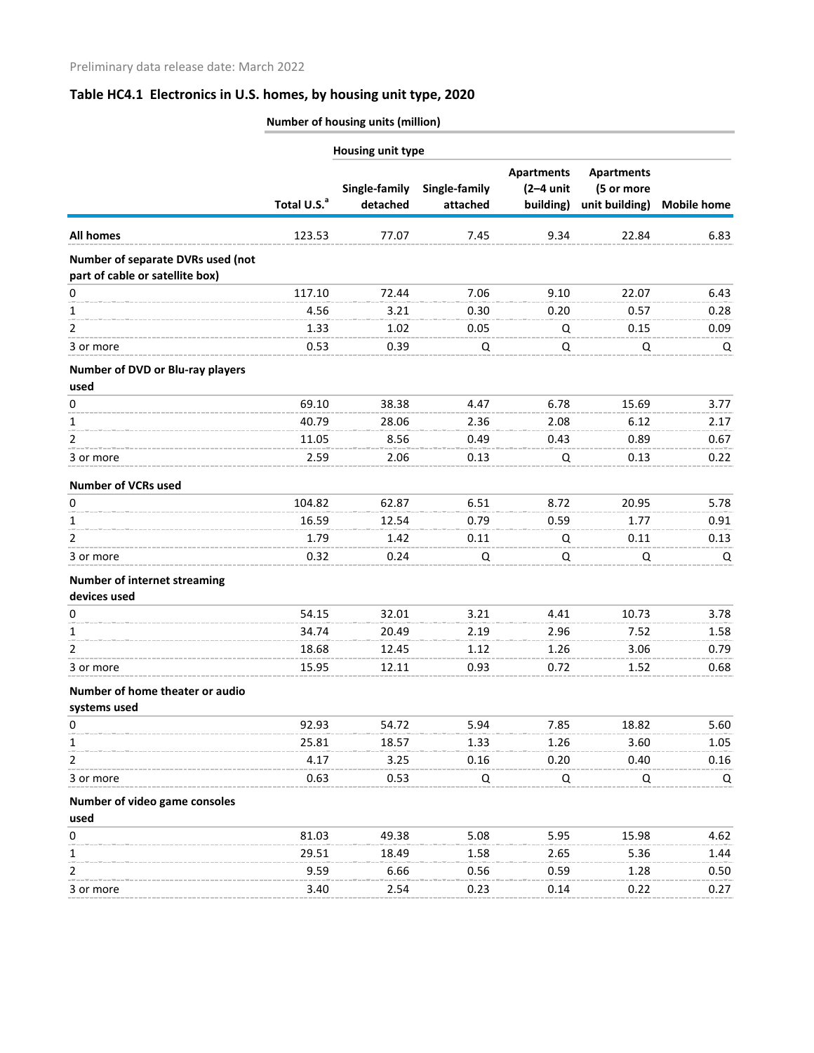|                                                                      | Number of housing units (million) |                           |                           |                                               |                                                   |                    |  |
|----------------------------------------------------------------------|-----------------------------------|---------------------------|---------------------------|-----------------------------------------------|---------------------------------------------------|--------------------|--|
|                                                                      |                                   | Housing unit type         |                           |                                               |                                                   |                    |  |
|                                                                      | Total U.S. <sup>a</sup>           | Single-family<br>detached | Single-family<br>attached | <b>Apartments</b><br>$(2-4$ unit<br>building) | <b>Apartments</b><br>(5 or more<br>unit building) | <b>Mobile home</b> |  |
| All homes                                                            | 123.53                            | 77.07                     | 7.45                      | 9.34                                          | 22.84                                             | 6.83               |  |
| Number of separate DVRs used (not<br>part of cable or satellite box) |                                   |                           |                           |                                               |                                                   |                    |  |
| 0                                                                    | 117.10                            | 72.44                     | 7.06                      | 9.10                                          | 22.07                                             | 6.43               |  |
|                                                                      | 4.56                              | 3.21                      | 0.30                      | 0.20                                          | 0.57                                              | 0.28               |  |
| 2                                                                    | 1.33                              | 1.02                      | 0.05                      | Q                                             | 0.15                                              | 0.09               |  |
| 3 or more                                                            | 0.53                              | 0.39                      | Q                         | Q                                             | Q                                                 | Q                  |  |
| Number of DVD or Blu-ray players<br>used                             |                                   |                           |                           |                                               |                                                   |                    |  |
| 0                                                                    | 69.10                             | 38.38                     | 4.47                      | 6.78                                          | 15.69                                             | 3.77               |  |
| 1.                                                                   | 40.79                             | 28.06                     | 2.36                      | 2.08                                          | 6.12                                              | 2.17               |  |
| 2                                                                    | 11.05                             | 8.56                      | 0.49                      | 0.43                                          | 0.89                                              | 0.67               |  |
| 3 or more                                                            | 2.59                              | 2.06                      | 0.13                      | Q                                             | 0.13                                              | 0.22               |  |
| <b>Number of VCRs used</b>                                           |                                   |                           |                           |                                               |                                                   |                    |  |
| 0                                                                    | 104.82                            | 62.87                     | 6.51                      | 8.72                                          | 20.95                                             | 5.78               |  |
| 1                                                                    | 16.59                             | 12.54                     | 0.79                      | 0.59                                          | 1.77                                              | 0.91               |  |
| 2                                                                    | 1.79                              | 1.42                      | 0.11                      | Q                                             | 0.11                                              | 0.13               |  |
| 3 or more                                                            | 0.32                              | 0.24                      | Q                         | Q                                             | Q                                                 | Q                  |  |
| <b>Number of internet streaming</b><br>devices used                  |                                   |                           |                           |                                               |                                                   |                    |  |
| 0                                                                    | 54.15                             | 32.01                     | 3.21                      | 4.41                                          | 10.73                                             | 3.78               |  |
| 1                                                                    | 34.74                             | 20.49                     | 2.19                      | 2.96                                          | 7.52                                              | 1.58               |  |
| 2                                                                    | 18.68                             | 12.45                     | 1.12                      | 1.26                                          | 3.06                                              | 0.79               |  |
| 3 or more                                                            | 15.95                             | 12.11                     | 0.93                      | 0.72                                          | 1.52                                              | 0.68               |  |
| Number of home theater or audio<br>systems used                      |                                   |                           |                           |                                               |                                                   |                    |  |
| 0                                                                    | 92.93                             | 54.72                     | 5.94                      | 7.85                                          | 18.82                                             | 5.60               |  |
|                                                                      | 25.81                             | 18.57                     | 1.33                      | 1.26                                          | 3.60                                              | 1.05               |  |
| 2                                                                    | 4.17                              | 3.25                      | 0.16                      | 0.20                                          | 0.40                                              | 0.16               |  |
| 3 or more                                                            | 0.63                              | 0.53                      | Q                         | Q                                             | Q                                                 | Q                  |  |
| Number of video game consoles                                        |                                   |                           |                           |                                               |                                                   |                    |  |
| used                                                                 |                                   |                           |                           |                                               |                                                   |                    |  |
| 0                                                                    | 81.03                             | 49.38                     | 5.08                      | 5.95                                          | 15.98                                             | 4.62               |  |
|                                                                      | 29.51                             | 18.49                     | 1.58                      | 2.65                                          | 5.36                                              | 1.44               |  |
|                                                                      | 9.59                              | 6.66                      | 0.56                      | 0.59                                          | 1.28                                              | 0.50               |  |
| 3 or more                                                            | 3.40                              | 2.54                      | 0.23                      | 0.14                                          | 0.22                                              | 0.27               |  |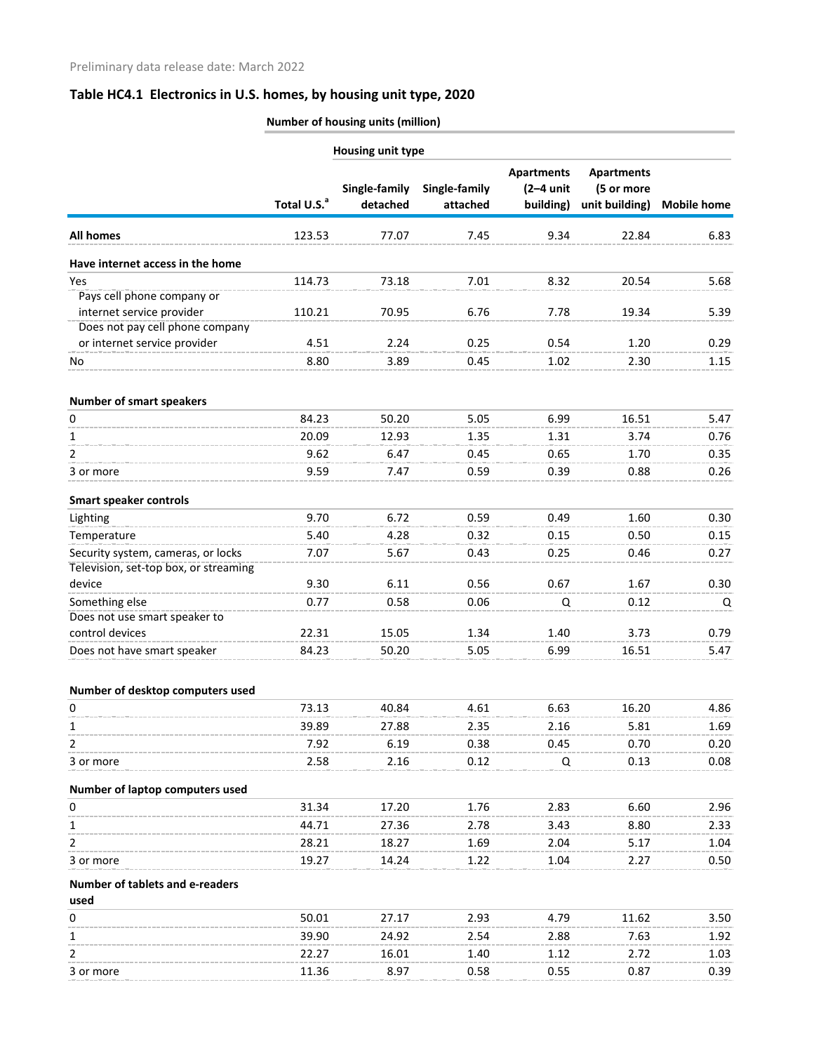|                                                 | Number of housing units (million) |                           |                           |                                               |                                                   |                    |
|-------------------------------------------------|-----------------------------------|---------------------------|---------------------------|-----------------------------------------------|---------------------------------------------------|--------------------|
|                                                 |                                   | Housing unit type         |                           |                                               |                                                   |                    |
|                                                 | Total U.S. <sup>a</sup>           | Single-family<br>detached | Single-family<br>attached | <b>Apartments</b><br>$(2-4$ unit<br>building) | <b>Apartments</b><br>(5 or more<br>unit building) | <b>Mobile home</b> |
| All homes                                       | 123.53                            | 77.07                     | 7.45                      | 9.34                                          | 22.84                                             | 6.83               |
| Have internet access in the home                |                                   |                           |                           |                                               |                                                   |                    |
| Yes                                             | 114.73                            | 73.18                     | 7.01                      | 8.32                                          | 20.54                                             | 5.68               |
| Pays cell phone company or                      |                                   |                           |                           |                                               |                                                   |                    |
| internet service provider                       | 110.21                            | 70.95                     | 6.76                      | 7.78                                          | 19.34                                             | 5.39               |
| Does not pay cell phone company                 |                                   |                           |                           |                                               |                                                   |                    |
| or internet service provider                    | 4.51                              | 2.24                      | 0.25                      | 0.54                                          | 1.20                                              | 0.29               |
| No                                              | 8.80                              | 3.89                      | 0.45                      | 1.02                                          | 2.30                                              | 1.15               |
| <b>Number of smart speakers</b>                 |                                   |                           |                           |                                               |                                                   |                    |
| 0                                               | 84.23                             | 50.20                     | 5.05                      | 6.99                                          | 16.51                                             | 5.47               |
| 1                                               | 20.09                             | 12.93                     | 1.35                      | 1.31                                          | 3.74                                              | 0.76               |
| 2                                               | 9.62                              | 6.47                      | 0.45                      | 0.65                                          | 1.70                                              | 0.35               |
| 3 or more                                       | 9.59                              | 7.47                      | 0.59                      | 0.39                                          | 0.88                                              | 0.26               |
| <b>Smart speaker controls</b>                   |                                   |                           |                           |                                               |                                                   |                    |
| Lighting                                        | 9.70                              | 6.72                      | 0.59                      | 0.49                                          | 1.60                                              | 0.30               |
| Temperature                                     | 5.40                              | 4.28                      | 0.32                      | 0.15                                          | 0.50                                              | 0.15               |
| Security system, cameras, or locks              | 7.07                              | 5.67                      | 0.43                      | 0.25                                          | 0.46                                              | 0.27               |
| Television, set-top box, or streaming           | 9.30                              | 6.11                      |                           |                                               |                                                   |                    |
| device                                          |                                   |                           | 0.56                      | 0.67                                          | 1.67                                              | 0.30               |
| Something else<br>Does not use smart speaker to | 0.77                              | 0.58                      | 0.06                      | Q                                             | 0.12                                              | Q                  |
| control devices                                 | 22.31                             | 15.05                     | 1.34                      | 1.40                                          | 3.73                                              | 0.79               |
| Does not have smart speaker                     | 84.23                             | 50.20                     | 5.05                      | 6.99                                          | 16.51                                             | 5.47               |
| Number of desktop computers used                |                                   |                           |                           |                                               |                                                   |                    |
| 0                                               | 73.13                             | 40.84                     | 4.61                      | 6.63                                          | 16.20                                             | 4.86               |
| 1                                               | 39.89                             | 27.88                     | 2.35                      | 2.16                                          | 5.81                                              | 1.69               |
| 2                                               | 7.92                              | 6.19                      | 0.38                      | 0.45                                          | 0.70                                              | 0.20               |
| 3 or more                                       | 2.58                              | 2.16                      | 0.12                      | Q                                             | 0.13                                              | 0.08               |
| Number of laptop computers used                 |                                   |                           |                           |                                               |                                                   |                    |
| 0                                               | 31.34                             | 17.20                     | 1.76                      | 2.83                                          | 6.60                                              | 2.96               |
| 1                                               | 44.71                             | 27.36                     | 2.78                      | 3.43                                          | 8.80                                              | 2.33               |
| 2                                               | 28.21                             | 18.27                     | 1.69                      | 2.04                                          | 5.17                                              | 1.04               |
| 3 or more                                       | 19.27                             | 14.24                     | 1.22                      | 1.04                                          | 2.27                                              | 0.50               |
| Number of tablets and e-readers                 |                                   |                           |                           |                                               |                                                   |                    |
| used                                            |                                   |                           |                           |                                               |                                                   |                    |
| 0                                               | 50.01                             | 27.17                     | 2.93                      | 4.79                                          | 11.62                                             | 3.50               |
| 1                                               | 39.90                             | 24.92                     | 2.54                      | 2.88                                          | 7.63                                              | 1.92               |
| 2                                               | 22.27                             | 16.01                     | 1.40                      | 1.12                                          | 2.72                                              | 1.03               |
| 3 or more                                       | 11.36                             | 8.97                      | 0.58                      | 0.55                                          | 0.87                                              | 0.39               |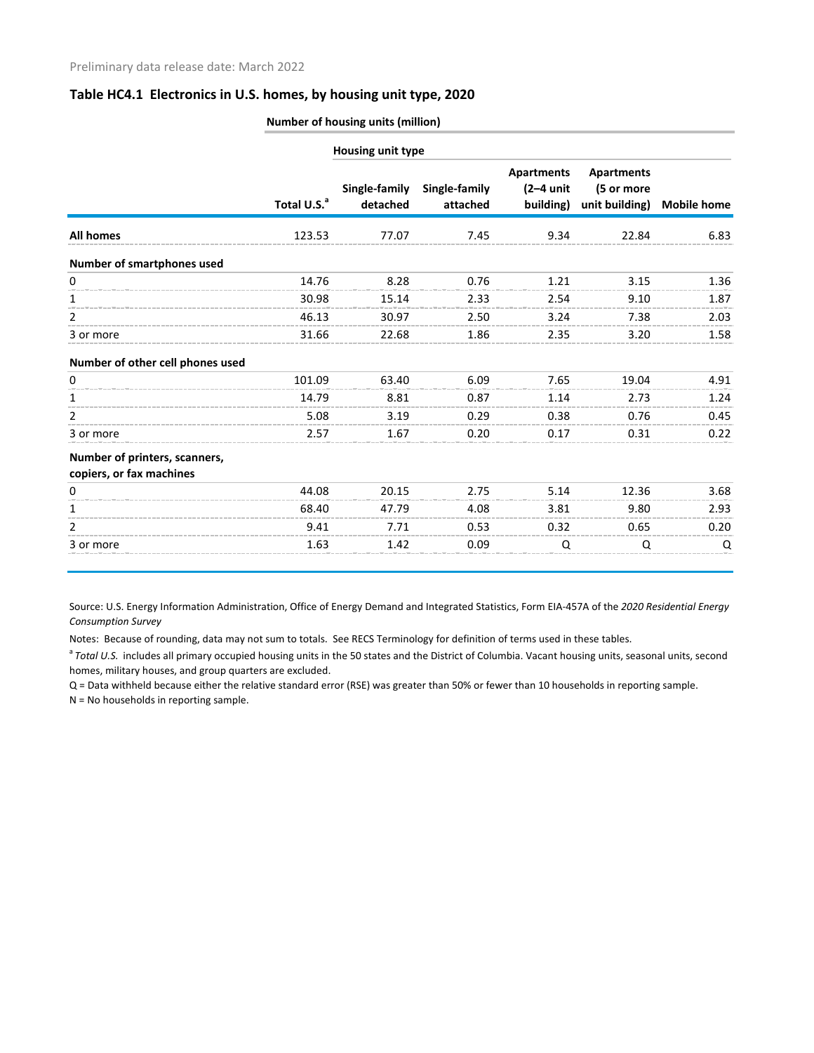|                                                           | Number of housing units (million) |                           |                           |                                               |                                                   |                    |  |
|-----------------------------------------------------------|-----------------------------------|---------------------------|---------------------------|-----------------------------------------------|---------------------------------------------------|--------------------|--|
|                                                           |                                   | Housing unit type         |                           |                                               |                                                   |                    |  |
|                                                           | Total U.S. <sup>a</sup>           | Single-family<br>detached | Single-family<br>attached | <b>Apartments</b><br>$(2-4$ unit<br>building) | <b>Apartments</b><br>(5 or more<br>unit building) | <b>Mobile home</b> |  |
| All homes                                                 | 123.53                            | 77.07                     | 7.45                      | 9.34                                          | 22.84                                             | 6.83               |  |
| Number of smartphones used                                |                                   |                           |                           |                                               |                                                   |                    |  |
| 0                                                         | 14.76                             | 8.28                      | 0.76                      | 1.21                                          | 3.15                                              | 1.36               |  |
| 1                                                         | 30.98                             | 15.14                     | 2.33                      | 2.54                                          | 9.10                                              | 1.87               |  |
| 2                                                         | 46.13                             | 30.97                     | 2.50                      | 3.24                                          | 7.38                                              | 2.03               |  |
| 3 or more                                                 | 31.66                             | 22.68                     | 1.86                      | 2.35                                          | 3.20                                              | 1.58               |  |
| Number of other cell phones used                          |                                   |                           |                           |                                               |                                                   |                    |  |
| 0                                                         | 101.09                            | 63.40                     | 6.09                      | 7.65                                          | 19.04                                             | 4.91               |  |
| 1                                                         | 14.79                             | 8.81                      | 0.87                      | 1.14                                          | 2.73                                              | 1.24               |  |
| 2                                                         | 5.08                              | 3.19                      | 0.29                      | 0.38                                          | 0.76                                              | 0.45               |  |
| 3 or more                                                 | 2.57                              | 1.67                      | 0.20                      | 0.17                                          | 0.31                                              | 0.22               |  |
| Number of printers, scanners,<br>copiers, or fax machines |                                   |                           |                           |                                               |                                                   |                    |  |
| 0                                                         | 44.08                             | 20.15                     | 2.75                      | 5.14                                          | 12.36                                             | 3.68               |  |
| 1                                                         | 68.40                             | 47.79                     | 4.08                      | 3.81                                          | 9.80                                              | 2.93               |  |
| $\overline{2}$                                            | 9.41                              | 7.71                      | 0.53                      | 0.32                                          | 0.65                                              | 0.20               |  |
| 3 or more                                                 | 1.63                              | 1.42                      | 0.09                      | Q                                             | Q                                                 | Q                  |  |

Source: U.S. Energy Information Administration, Office of Energy Demand and Integrated Statistics, Form EIA-457A of the *2020 Residential Energy Consumption Survey*

Notes: Because of rounding, data may not sum to totals. See RECS Terminology for definition of terms used in these tables.

<sup>a</sup> Total U.S. includes all primary occupied housing units in the 50 states and the District of Columbia. Vacant housing units, seasonal units, second homes, military houses, and group quarters are excluded.

Q = Data withheld because either the relative standard error (RSE) was greater than 50% or fewer than 10 households in reporting sample.

N = No households in reporting sample.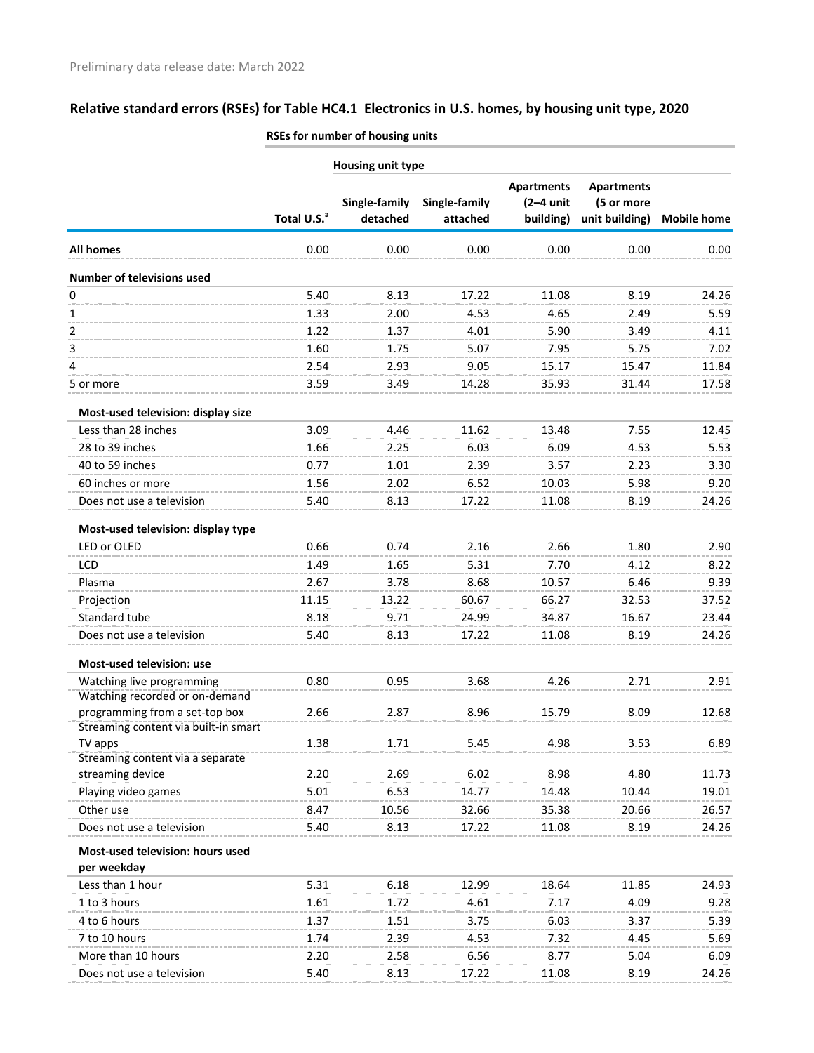|                                                                        |                          | เวะราบา แนเแมน บา แบนรแเธ นเแเร |               |                                  |                                                   |                    |  |
|------------------------------------------------------------------------|--------------------------|---------------------------------|---------------|----------------------------------|---------------------------------------------------|--------------------|--|
|                                                                        | <b>Housing unit type</b> |                                 |               |                                  |                                                   |                    |  |
|                                                                        | Total U.S. <sup>a</sup>  | Single-family                   | Single-family | <b>Apartments</b><br>$(2-4$ unit | <b>Apartments</b><br>(5 or more<br>unit building) |                    |  |
|                                                                        |                          | detached                        | attached      | building)                        |                                                   | <b>Mobile home</b> |  |
| All homes                                                              | 0.00                     | 0.00                            | 0.00          | 0.00                             | 0.00                                              | 0.00               |  |
| <b>Number of televisions used</b>                                      |                          |                                 |               |                                  |                                                   |                    |  |
| 0                                                                      | 5.40                     | 8.13                            | 17.22         | 11.08                            | 8.19                                              | 24.26              |  |
| 1                                                                      | 1.33                     | 2.00                            | 4.53          | 4.65                             | 2.49                                              | 5.59               |  |
| 2                                                                      | 1.22                     | 1.37                            | 4.01          | 5.90                             | 3.49                                              | 4.11               |  |
| 3                                                                      | 1.60                     | 1.75                            | 5.07          | 7.95                             | 5.75                                              | 7.02               |  |
| 4                                                                      | 2.54                     | 2.93                            | 9.05          | 15.17                            | 15.47                                             | 11.84              |  |
| 5 or more                                                              | 3.59                     | 3.49                            | 14.28         | 35.93                            | 31.44                                             | 17.58              |  |
| Most-used television: display size                                     |                          |                                 |               |                                  |                                                   |                    |  |
| Less than 28 inches                                                    | 3.09                     | 4.46                            | 11.62         | 13.48                            | 7.55                                              | 12.45              |  |
| 28 to 39 inches                                                        | 1.66                     | 2.25                            | 6.03          | 6.09                             | 4.53                                              | 5.53               |  |
| 40 to 59 inches                                                        | 0.77                     | 1.01                            | 2.39          | 3.57                             | 2.23                                              | 3.30               |  |
| 60 inches or more                                                      | 1.56                     | 2.02                            | 6.52          | 10.03                            | 5.98                                              | 9.20               |  |
| Does not use a television                                              | 5.40                     | 8.13                            | 17.22         | 11.08                            | 8.19                                              | 24.26              |  |
| Most-used television: display type                                     |                          |                                 |               |                                  |                                                   |                    |  |
| LED or OLED                                                            | 0.66                     | 0.74                            | 2.16          | 2.66                             | 1.80                                              | 2.90               |  |
| LCD                                                                    | 1.49                     | 1.65                            | 5.31          | 7.70                             | 4.12                                              | 8.22               |  |
| Plasma                                                                 | 2.67                     | 3.78                            | 8.68          | 10.57                            | 6.46                                              | 9.39               |  |
| Projection                                                             | 11.15                    | 13.22                           | 60.67         | 66.27                            | 32.53                                             | 37.52              |  |
| Standard tube                                                          | 8.18                     | 9.71                            | 24.99         | 34.87                            | 16.67                                             | 23.44              |  |
| Does not use a television                                              | 5.40                     | 8.13                            | 17.22         | 11.08                            | 8.19                                              | 24.26              |  |
| Most-used television: use                                              |                          |                                 |               |                                  |                                                   |                    |  |
| Watching live programming                                              | 0.80                     | 0.95                            | 3.68          | 4.26                             | 2.71                                              | 2.91               |  |
| Watching recorded or on-demand                                         |                          |                                 |               |                                  |                                                   |                    |  |
| programming from a set-top box<br>Streaming content via built-in smart | 2.66                     | 2.87                            | 8.96          | 15.79                            | 8.09                                              | 12.68              |  |
| TV apps                                                                | 1.38                     | 1.71                            | 5.45          | 4.98                             | 3.53                                              | 6.89               |  |
| Streaming content via a separate                                       |                          |                                 |               |                                  |                                                   |                    |  |
| streaming device                                                       | 2.20                     | 2.69                            | 6.02          | 8.98                             | 4.80                                              | 11.73              |  |
| Playing video games                                                    | 5.01                     | 6.53                            | 14.77         | 14.48                            | 10.44                                             | 19.01              |  |
| Other use                                                              | 8.47                     | 10.56                           | 32.66         | 35.38                            | 20.66                                             | 26.57              |  |
| Does not use a television                                              | 5.40                     | 8.13                            | 17.22         | 11.08                            | 8.19                                              | 24.26              |  |
| Most-used television: hours used                                       |                          |                                 |               |                                  |                                                   |                    |  |
| per weekday                                                            |                          |                                 |               |                                  |                                                   |                    |  |
| Less than 1 hour                                                       | 5.31                     | 6.18                            | 12.99         | 18.64                            | 11.85                                             | 24.93              |  |
| 1 to 3 hours                                                           | 1.61                     | 1.72                            | 4.61          | 7.17                             | 4.09                                              | 9.28               |  |
| 4 to 6 hours                                                           | 1.37                     | 1.51                            | 3.75          | 6.03                             | 3.37                                              | 5.39               |  |
| 7 to 10 hours                                                          | 1.74                     | 2.39                            | 4.53          | 7.32                             | 4.45                                              | 5.69               |  |
| More than 10 hours                                                     | 2.20                     | 2.58                            | 6.56          | 8.77                             | 5.04                                              | 6.09               |  |
| Does not use a television                                              | 5.40                     | 8.13                            | 17.22         | 11.08                            | 8.19                                              | 24.26              |  |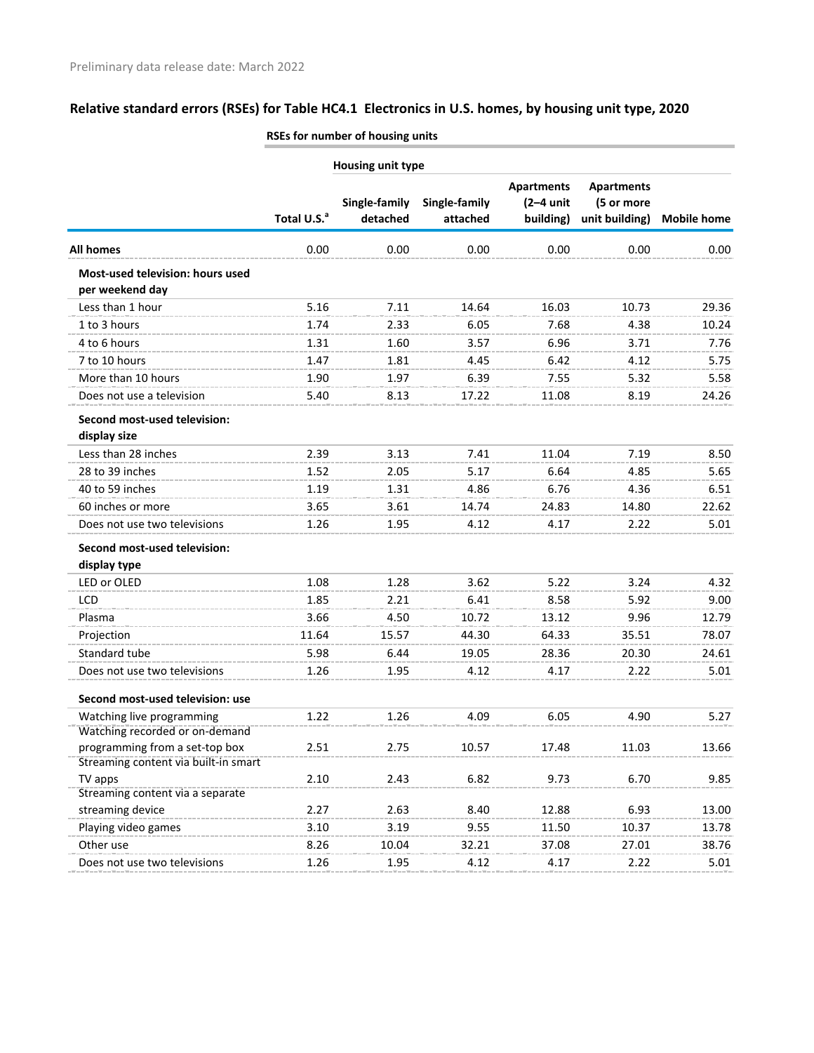|                                                     |                         | NSES TOT HUITIDEL OF HOUSING UNITS |                           |                                               |                                                   |                    |
|-----------------------------------------------------|-------------------------|------------------------------------|---------------------------|-----------------------------------------------|---------------------------------------------------|--------------------|
|                                                     |                         | <b>Housing unit type</b>           |                           |                                               |                                                   |                    |
|                                                     | Total U.S. <sup>a</sup> | Single-family<br>detached          | Single-family<br>attached | <b>Apartments</b><br>$(2-4$ unit<br>building) | <b>Apartments</b><br>(5 or more<br>unit building) | <b>Mobile home</b> |
| All homes                                           | 0.00                    | 0.00                               | 0.00                      | 0.00                                          | 0.00                                              | 0.00               |
| Most-used television: hours used<br>per weekend day |                         |                                    |                           |                                               |                                                   |                    |
| Less than 1 hour                                    | 5.16                    | 7.11                               | 14.64                     | 16.03                                         | 10.73                                             | 29.36              |
| 1 to 3 hours                                        | 1.74                    | 2.33                               | 6.05                      | 7.68                                          | 4.38                                              | 10.24              |
| 4 to 6 hours                                        | 1.31                    | 1.60                               | 3.57                      | 6.96                                          | 3.71                                              | 7.76               |
| 7 to 10 hours                                       | 1.47                    | 1.81                               | 4.45                      | 6.42                                          | 4.12                                              | 5.75               |
| More than 10 hours                                  | 1.90                    | 1.97                               | 6.39                      | 7.55                                          | 5.32                                              | 5.58               |
| Does not use a television                           | 5.40                    | 8.13                               | 17.22                     | 11.08                                         | 8.19                                              | 24.26              |
| Second most-used television:<br>display size        |                         |                                    |                           |                                               |                                                   |                    |
| Less than 28 inches                                 | 2.39                    | 3.13                               | 7.41                      | 11.04                                         | 7.19                                              | 8.50               |
| 28 to 39 inches                                     | 1.52                    | 2.05                               | 5.17                      | 6.64                                          | 4.85                                              | 5.65               |
| 40 to 59 inches                                     | 1.19                    | 1.31                               | 4.86                      | 6.76                                          | 4.36                                              | 6.51               |
| 60 inches or more                                   | 3.65                    | 3.61                               | 14.74                     | 24.83                                         | 14.80                                             | 22.62              |
| Does not use two televisions                        | 1.26                    | 1.95                               | 4.12                      | 4.17                                          | 2.22                                              | 5.01               |
| Second most-used television:<br>display type        |                         |                                    |                           |                                               |                                                   |                    |
| LED or OLED                                         | 1.08                    | 1.28                               | 3.62                      | 5.22                                          | 3.24                                              | 4.32               |
| LCD                                                 | 1.85                    | 2.21                               | 6.41                      | 8.58                                          | 5.92                                              | 9.00               |
| Plasma                                              | 3.66                    | 4.50                               | 10.72                     | 13.12                                         | 9.96                                              | 12.79              |
| Projection                                          | 11.64                   | 15.57                              | 44.30                     | 64.33                                         | 35.51                                             | 78.07              |
| Standard tube                                       | 5.98                    | 6.44                               | 19.05                     | 28.36                                         | 20.30                                             | 24.61              |
| Does not use two televisions                        | 1.26                    | 1.95                               | 4.12                      | 4.17                                          | 2.22                                              | 5.01               |
| Second most-used television: use                    |                         |                                    |                           |                                               |                                                   |                    |
| Watching live programming                           | 1.22                    | 1.26                               | 4.09                      | 6.05                                          | 4.90                                              | 5.27               |
| Watching recorded or on-demand                      |                         |                                    |                           |                                               |                                                   |                    |
| programming from a set-top box                      | 2.51                    | 2.75                               | 10.57                     | 17.48                                         | 11.03                                             | 13.66              |
| Streaming content via built-in smart<br>TV apps     | 2.10                    | 2.43                               | 6.82                      | 9.73                                          | 6.70                                              | 9.85               |
| Streaming content via a separate                    |                         |                                    |                           |                                               |                                                   |                    |
| streaming device                                    | 2.27                    | 2.63                               | 8.40                      | 12.88                                         | 6.93                                              | 13.00              |
| Playing video games                                 | 3.10                    | 3.19                               | 9.55                      | 11.50                                         | 10.37                                             | 13.78              |
| Other use                                           | 8.26                    | 10.04                              | 32.21                     | 37.08                                         | 27.01                                             | 38.76              |
| Does not use two televisions                        | 1.26                    | 1.95                               | 4.12                      | 4.17                                          | 2.22                                              | 5.01               |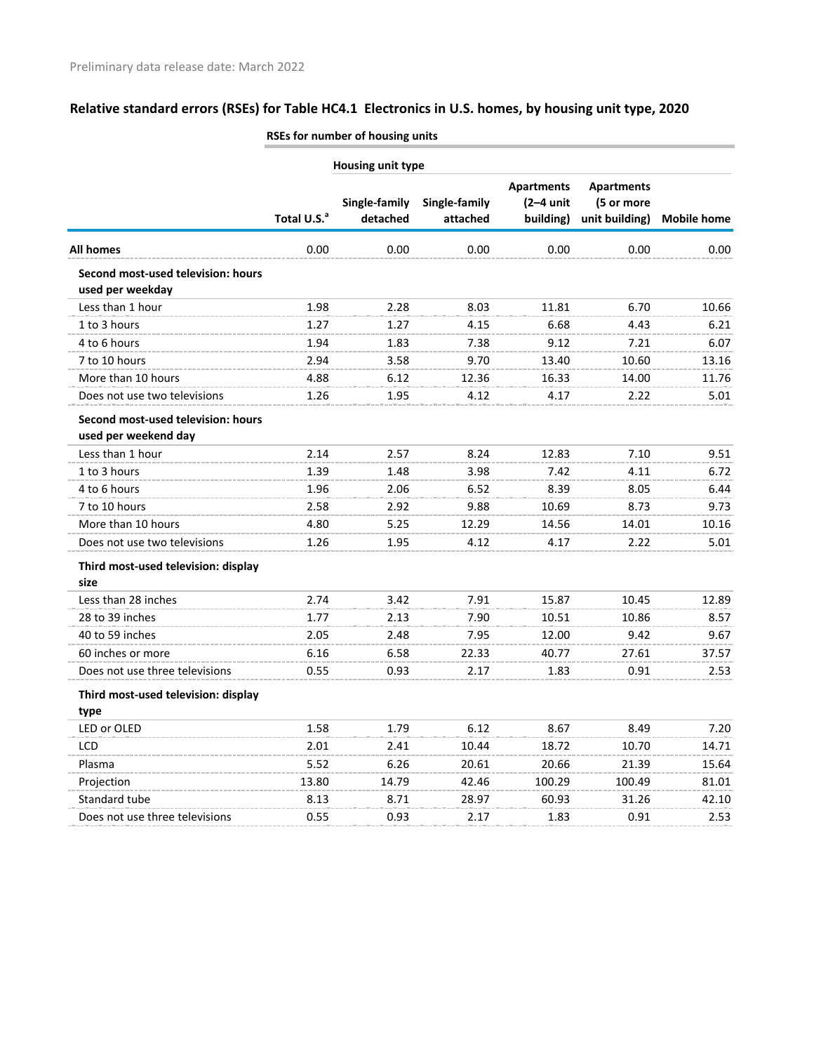|                                                            |                         | <b>NJES IUI HUIHDEI UI HUUSHIK UHILS</b> |                           |                                               |                                                   |                    |
|------------------------------------------------------------|-------------------------|------------------------------------------|---------------------------|-----------------------------------------------|---------------------------------------------------|--------------------|
|                                                            |                         | <b>Housing unit type</b>                 |                           |                                               |                                                   |                    |
|                                                            | Total U.S. <sup>a</sup> | Single-family<br>detached                | Single-family<br>attached | <b>Apartments</b><br>$(2-4$ unit<br>building) | <b>Apartments</b><br>(5 or more<br>unit building) | <b>Mobile home</b> |
| All homes                                                  | 0.00                    | 0.00                                     | 0.00                      | 0.00                                          | 0.00                                              | 0.00               |
| Second most-used television: hours<br>used per weekday     |                         |                                          |                           |                                               |                                                   |                    |
| Less than 1 hour                                           | 1.98                    | 2.28                                     | 8.03                      | 11.81                                         | 6.70                                              | 10.66              |
| 1 to 3 hours                                               | 1.27                    | 1.27                                     | 4.15                      | 6.68                                          | 4.43                                              | 6.21               |
| 4 to 6 hours                                               | 1.94                    | 1.83                                     | 7.38                      | 9.12                                          | 7.21                                              | 6.07               |
| 7 to 10 hours                                              | 2.94                    | 3.58                                     | 9.70                      | 13.40                                         | 10.60                                             | 13.16              |
| More than 10 hours                                         | 4.88                    | 6.12                                     | 12.36                     | 16.33                                         | 14.00                                             | 11.76              |
| Does not use two televisions                               | 1.26                    | 1.95                                     | 4.12                      | 4.17                                          | 2.22                                              | 5.01               |
| Second most-used television: hours<br>used per weekend day |                         |                                          |                           |                                               |                                                   |                    |
| Less than 1 hour                                           | 2.14                    | 2.57                                     | 8.24                      | 12.83                                         | 7.10                                              | 9.51               |
| 1 to 3 hours                                               | 1.39                    | 1.48                                     | 3.98                      | 7.42                                          | 4.11                                              | 6.72               |
| 4 to 6 hours                                               | 1.96                    | 2.06                                     | 6.52                      | 8.39                                          | 8.05                                              | 6.44               |
| 7 to 10 hours                                              | 2.58                    | 2.92                                     | 9.88                      | 10.69                                         | 8.73                                              | 9.73               |
| More than 10 hours                                         | 4.80                    | 5.25                                     | 12.29                     | 14.56                                         | 14.01                                             | 10.16              |
| Does not use two televisions                               | 1.26                    | 1.95                                     | 4.12                      | 4.17                                          | 2.22                                              | 5.01               |
| Third most-used television: display<br>size                |                         |                                          |                           |                                               |                                                   |                    |
| Less than 28 inches                                        | 2.74                    | 3.42                                     | 7.91                      | 15.87                                         | 10.45                                             | 12.89              |
| 28 to 39 inches                                            | 1.77                    | 2.13                                     | 7.90                      | 10.51                                         | 10.86                                             | 8.57               |
| 40 to 59 inches                                            | 2.05                    | 2.48                                     | 7.95                      | 12.00                                         | 9.42                                              | 9.67               |
| 60 inches or more                                          | 6.16                    | 6.58                                     | 22.33                     | 40.77                                         | 27.61                                             | 37.57              |
| Does not use three televisions                             | 0.55                    | 0.93                                     | 2.17                      | 1.83                                          | 0.91                                              | 2.53               |
| Third most-used television: display<br>type                |                         |                                          |                           |                                               |                                                   |                    |
| LED or OLED                                                | 1.58                    | 1.79                                     | 6.12                      | 8.67                                          | 8.49                                              | 7.20               |
| LCD                                                        | 2.01                    | 2.41                                     | 10.44                     | 18.72                                         | 10.70                                             | 14.71              |
| Plasma                                                     | 5.52                    | 6.26                                     | 20.61                     | 20.66                                         | 21.39                                             | 15.64              |
| Projection                                                 | 13.80                   | 14.79                                    | 42.46                     | 100.29                                        | 100.49                                            | 81.01              |
| Standard tube                                              | 8.13                    | 8.71                                     | 28.97                     | 60.93                                         | 31.26                                             | 42.10              |
| Does not use three televisions                             | 0.55                    | 0.93                                     | 2.17                      | 1.83                                          | 0.91                                              | 2.53               |
|                                                            |                         |                                          |                           |                                               |                                                   |                    |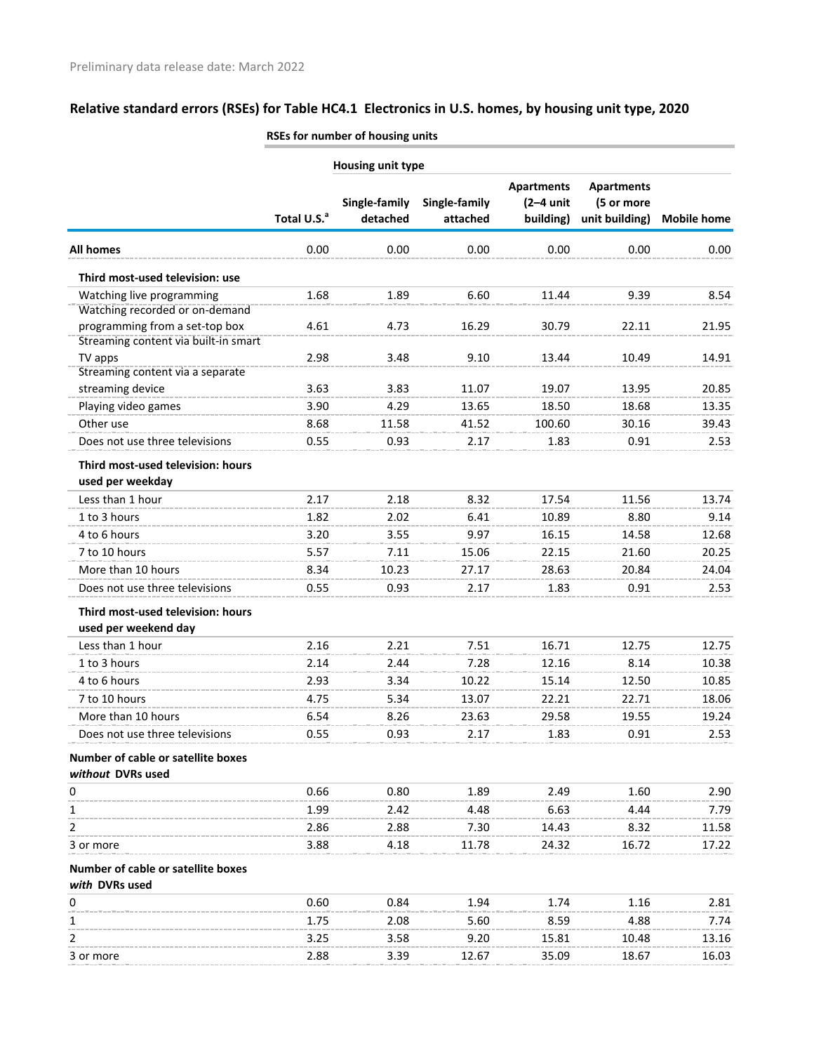|                                                                        |                         | <b>ROLLY TO COMPUTE IN THE UP IN THE UP IN THE UP IN THE UP IN THE UP IN THE UP I</b> |                           |                                               |                                                   |                    |
|------------------------------------------------------------------------|-------------------------|---------------------------------------------------------------------------------------|---------------------------|-----------------------------------------------|---------------------------------------------------|--------------------|
|                                                                        |                         | Housing unit type                                                                     |                           |                                               |                                                   |                    |
|                                                                        | Total U.S. <sup>a</sup> | Single-family<br>detached                                                             | Single-family<br>attached | <b>Apartments</b><br>$(2-4$ unit<br>building) | <b>Apartments</b><br>(5 or more<br>unit building) | <b>Mobile home</b> |
| All homes                                                              | 0.00                    | 0.00                                                                                  | 0.00                      | 0.00                                          | 0.00                                              | 0.00               |
| Third most-used television: use                                        |                         |                                                                                       |                           |                                               |                                                   |                    |
| Watching live programming<br>Watching recorded or on-demand            | 1.68                    | 1.89                                                                                  | 6.60                      | 11.44                                         | 9.39                                              | 8.54               |
| programming from a set-top box<br>Streaming content via built-in smart | 4.61                    | 4.73                                                                                  | 16.29                     | 30.79                                         | 22.11                                             | 21.95              |
| TV apps<br>Streaming content via a separate                            | 2.98                    | 3.48                                                                                  | 9.10                      | 13.44                                         | 10.49                                             | 14.91              |
| streaming device                                                       | 3.63                    | 3.83                                                                                  | 11.07                     | 19.07                                         | 13.95                                             | 20.85              |
| Playing video games<br>Other use                                       | 3.90<br>8.68            | 4.29<br>11.58                                                                         | 13.65<br>41.52            | 18.50<br>100.60                               | 18.68<br>30.16                                    | 13.35<br>39.43     |
| Does not use three televisions                                         | 0.55                    | 0.93                                                                                  | 2.17                      | 1.83                                          | 0.91                                              | 2.53               |
| Third most-used television: hours<br>used per weekday                  |                         |                                                                                       |                           |                                               |                                                   |                    |
| Less than 1 hour                                                       | 2.17                    | 2.18                                                                                  | 8.32                      | 17.54                                         | 11.56                                             | 13.74              |
| 1 to 3 hours                                                           | 1.82                    | 2.02                                                                                  | 6.41                      | 10.89                                         | 8.80                                              | 9.14               |
| 4 to 6 hours                                                           | 3.20                    | 3.55                                                                                  | 9.97                      | 16.15                                         | 14.58                                             | 12.68              |
| 7 to 10 hours                                                          | 5.57                    | 7.11                                                                                  | 15.06                     | 22.15                                         | 21.60                                             | 20.25              |
| More than 10 hours                                                     | 8.34                    | 10.23                                                                                 | 27.17                     | 28.63                                         | 20.84                                             | 24.04              |
| Does not use three televisions                                         | 0.55                    | 0.93                                                                                  | 2.17                      | 1.83                                          | 0.91                                              | 2.53               |
| Third most-used television: hours<br>used per weekend day              |                         |                                                                                       |                           |                                               |                                                   |                    |
| Less than 1 hour                                                       | 2.16                    | 2.21                                                                                  | 7.51                      | 16.71                                         | 12.75                                             | 12.75              |
| 1 to 3 hours                                                           | 2.14                    | 2.44                                                                                  | 7.28                      | 12.16                                         | 8.14                                              | 10.38              |
| 4 to 6 hours                                                           | 2.93                    | 3.34                                                                                  | 10.22                     | 15.14                                         | 12.50                                             | 10.85              |
| 7 to 10 hours                                                          | 4.75                    | 5.34                                                                                  | 13.07                     | 22.21                                         | 22.71                                             | 18.06              |
| More than 10 hours                                                     | 6.54                    | 8.26                                                                                  | 23.63                     | 29.58                                         | 19.55                                             | 19.24              |
| Does not use three televisions                                         | 0.55                    | 0.93                                                                                  | 2.17                      | 1.83                                          | 0.91                                              | 2.53               |
| Number of cable or satellite boxes<br>without DVRs used                |                         |                                                                                       |                           |                                               |                                                   |                    |
| 0                                                                      | 0.66                    | 0.80                                                                                  | 1.89                      | 2.49                                          | 1.60                                              | 2.90               |
| 1                                                                      | 1.99                    | 2.42                                                                                  | 4.48                      | 6.63                                          | 4.44                                              | 7.79               |
| 2                                                                      | 2.86                    | 2.88                                                                                  | 7.30                      | 14.43                                         | 8.32                                              | 11.58              |
| 3 or more                                                              | 3.88                    | 4.18                                                                                  | 11.78                     | 24.32                                         | 16.72                                             | 17.22              |
| Number of cable or satellite boxes<br>with DVRs used                   |                         |                                                                                       |                           |                                               |                                                   |                    |
| 0                                                                      | 0.60                    | 0.84                                                                                  | 1.94                      | 1.74                                          | 1.16                                              | 2.81               |
| 1                                                                      | 1.75                    | 2.08                                                                                  | 5.60                      | 8.59                                          | 4.88                                              | 7.74               |
| 2                                                                      | 3.25                    | 3.58                                                                                  | 9.20                      | 15.81                                         | 10.48                                             | 13.16              |

3 or more 2.88 3.39 12.67 35.09 18.67 16.03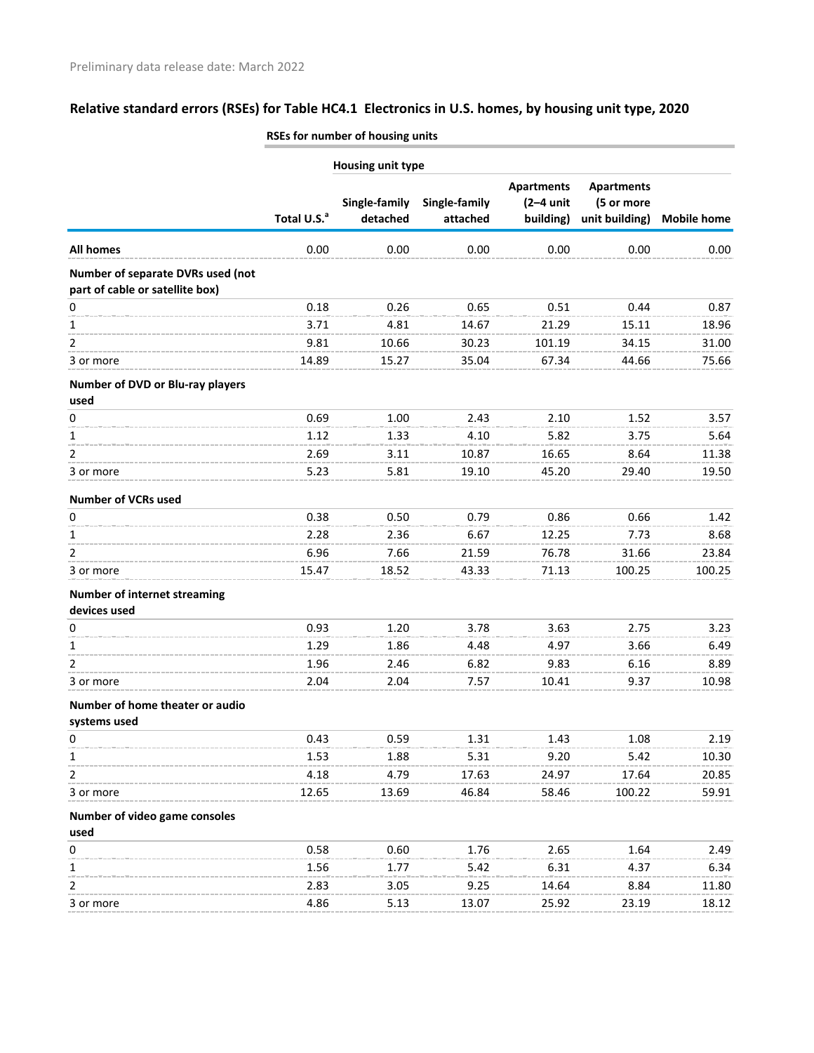|                                                                      | RSES for number of nousing units |                           |                           |                                               |                                                   |                    |  |
|----------------------------------------------------------------------|----------------------------------|---------------------------|---------------------------|-----------------------------------------------|---------------------------------------------------|--------------------|--|
|                                                                      |                                  | <b>Housing unit type</b>  |                           |                                               |                                                   |                    |  |
|                                                                      | Total U.S. <sup>a</sup>          | Single-family<br>detached | Single-family<br>attached | <b>Apartments</b><br>$(2-4$ unit<br>building) | <b>Apartments</b><br>(5 or more<br>unit building) | <b>Mobile home</b> |  |
| All homes                                                            | 0.00                             | 0.00                      | 0.00                      | 0.00                                          | 0.00                                              | 0.00               |  |
| Number of separate DVRs used (not<br>part of cable or satellite box) |                                  |                           |                           |                                               |                                                   |                    |  |
| 0                                                                    | 0.18                             | 0.26                      | 0.65                      | 0.51                                          | 0.44                                              | 0.87               |  |
| 1                                                                    | 3.71                             | 4.81                      | 14.67                     | 21.29                                         | 15.11                                             | 18.96              |  |
| 2                                                                    | 9.81                             | 10.66                     | 30.23                     | 101.19                                        | 34.15                                             | 31.00              |  |
| 3 or more                                                            | 14.89                            | 15.27                     | 35.04                     | 67.34                                         | 44.66                                             | 75.66              |  |
| Number of DVD or Blu-ray players                                     |                                  |                           |                           |                                               |                                                   |                    |  |
| used                                                                 |                                  |                           |                           |                                               |                                                   |                    |  |
| 0                                                                    | 0.69<br>1.12                     | 1.00<br>1.33              | 2.43<br>4.10              | 2.10<br>5.82                                  | 1.52<br>3.75                                      | 3.57<br>5.64       |  |
| 1<br>2                                                               | 2.69                             | 3.11                      | 10.87                     | 16.65                                         | 8.64                                              | 11.38              |  |
| 3 or more                                                            | 5.23                             | 5.81                      | 19.10                     | 45.20                                         | 29.40                                             | 19.50              |  |
|                                                                      |                                  |                           |                           |                                               |                                                   |                    |  |
| <b>Number of VCRs used</b>                                           |                                  |                           |                           |                                               |                                                   |                    |  |
| $\pmb{0}$                                                            | 0.38                             | 0.50                      | 0.79                      | 0.86                                          | 0.66                                              | 1.42               |  |
| 1                                                                    | 2.28                             | 2.36                      | 6.67                      | 12.25                                         | 7.73                                              | 8.68               |  |
| 2                                                                    | 6.96                             | 7.66                      | 21.59                     | 76.78                                         | 31.66                                             | 23.84              |  |
| 3 or more                                                            | 15.47                            | 18.52                     | 43.33                     | 71.13                                         | 100.25                                            | 100.25             |  |
| <b>Number of internet streaming</b><br>devices used                  |                                  |                           |                           |                                               |                                                   |                    |  |
| 0                                                                    | 0.93                             | 1.20                      | 3.78                      | 3.63                                          | 2.75                                              | 3.23               |  |
| 1                                                                    | 1.29                             | 1.86                      | 4.48                      | 4.97                                          | 3.66                                              | 6.49               |  |
| 2                                                                    | 1.96                             | 2.46                      | 6.82                      | 9.83                                          | 6.16                                              | 8.89               |  |
| 3 or more                                                            | 2.04                             | 2.04                      | 7.57                      | 10.41                                         | 9.37                                              | 10.98              |  |
| Number of home theater or audio                                      |                                  |                           |                           |                                               |                                                   |                    |  |
| systems used                                                         |                                  |                           |                           |                                               |                                                   |                    |  |
| $\pmb{0}$                                                            | 0.43                             | 0.59                      | 1.31                      | 1.43                                          | 1.08                                              | 2.19               |  |
| 1                                                                    | 1.53                             | 1.88                      | 5.31                      | 9.20                                          | 5.42                                              | 10.30              |  |
| 2                                                                    | 4.18                             | 4.79                      | 17.63                     | 24.97                                         | 17.64                                             | 20.85              |  |
| 3 or more                                                            | 12.65                            | 13.69                     | 46.84                     | 58.46                                         | 100.22                                            | 59.91              |  |
| Number of video game consoles                                        |                                  |                           |                           |                                               |                                                   |                    |  |
| used                                                                 |                                  |                           |                           |                                               |                                                   |                    |  |
| $\pmb{0}$                                                            | 0.58                             | 0.60                      | 1.76                      | 2.65                                          | 1.64                                              | 2.49               |  |
| 1                                                                    | 1.56                             | 1.77                      | 5.42                      | 6.31                                          | 4.37                                              | 6.34               |  |
| 2                                                                    | 2.83                             | 3.05                      | 9.25                      | 14.64                                         | 8.84                                              | 11.80              |  |
| 3 or more                                                            | 4.86                             | 5.13                      | 13.07                     | 25.92                                         | 23.19                                             | 18.12              |  |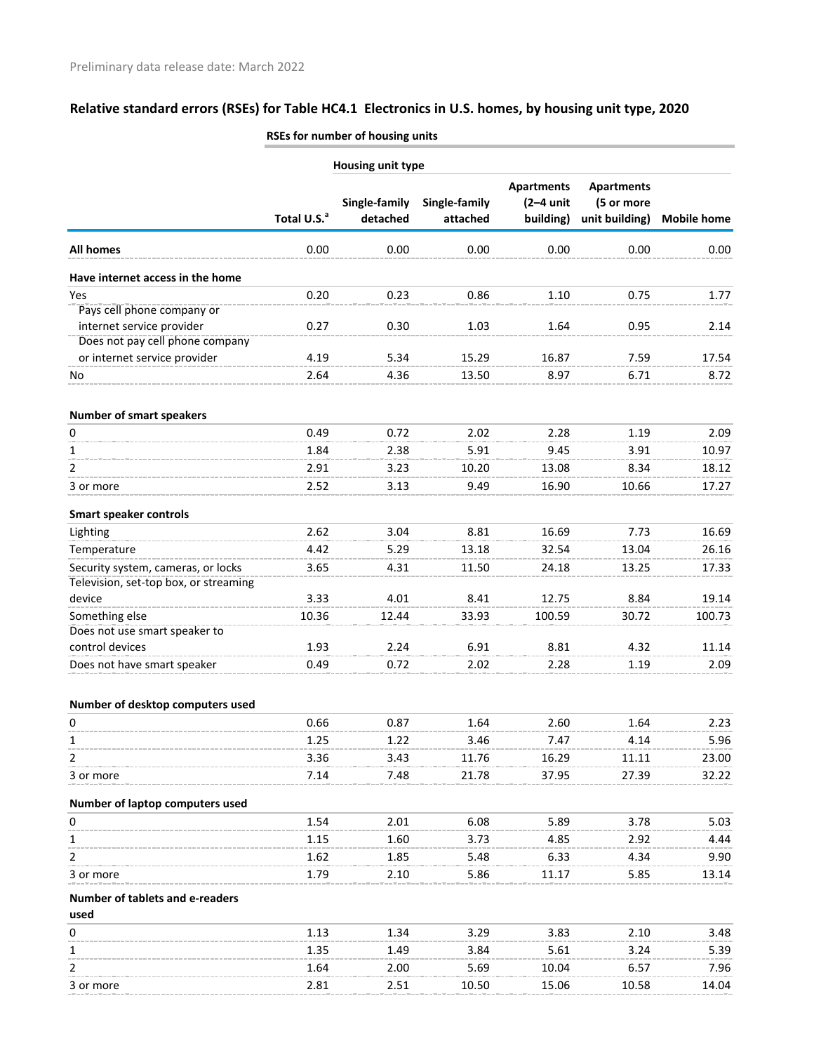|                                       |                         | <b>NJES IUI HUIHDEI UI HUUSHIK UHILS</b> |               |                                  |                                 |                    |  |  |  |  |
|---------------------------------------|-------------------------|------------------------------------------|---------------|----------------------------------|---------------------------------|--------------------|--|--|--|--|
|                                       | Housing unit type       |                                          |               |                                  |                                 |                    |  |  |  |  |
|                                       |                         | Single-family                            | Single-family | <b>Apartments</b><br>$(2-4$ unit | <b>Apartments</b><br>(5 or more |                    |  |  |  |  |
|                                       | Total U.S. <sup>a</sup> | detached                                 | attached      | building)                        | unit building)                  | <b>Mobile home</b> |  |  |  |  |
| <b>All homes</b>                      | 0.00                    | 0.00                                     | 0.00          | 0.00                             | 0.00                            | 0.00               |  |  |  |  |
| Have internet access in the home      |                         |                                          |               |                                  |                                 |                    |  |  |  |  |
| Yes                                   | 0.20                    | 0.23                                     | 0.86          | 1.10                             | 0.75                            | 1.77               |  |  |  |  |
| Pays cell phone company or            |                         |                                          |               |                                  |                                 |                    |  |  |  |  |
| internet service provider             | 0.27                    | 0.30                                     | 1.03          | 1.64                             | 0.95                            | 2.14               |  |  |  |  |
| Does not pay cell phone company       |                         |                                          |               |                                  |                                 |                    |  |  |  |  |
| or internet service provider          | 4.19                    | 5.34                                     | 15.29         | 16.87                            | 7.59                            | 17.54              |  |  |  |  |
| No                                    | 2.64                    | 4.36                                     | 13.50         | 8.97                             | 6.71                            | 8.72               |  |  |  |  |
| <b>Number of smart speakers</b>       |                         |                                          |               |                                  |                                 |                    |  |  |  |  |
| 0                                     | 0.49                    | 0.72                                     | 2.02          | 2.28                             | 1.19                            | 2.09               |  |  |  |  |
| 1                                     | 1.84                    | 2.38                                     | 5.91          | 9.45                             | 3.91                            | 10.97              |  |  |  |  |
| 2                                     | 2.91                    | 3.23                                     | 10.20         | 13.08                            | 8.34                            | 18.12              |  |  |  |  |
| 3 or more                             | 2.52                    | 3.13                                     | 9.49          | 16.90                            | 10.66                           | 17.27              |  |  |  |  |
| <b>Smart speaker controls</b>         |                         |                                          |               |                                  |                                 |                    |  |  |  |  |
| Lighting                              | 2.62                    | 3.04                                     | 8.81          | 16.69                            | 7.73                            | 16.69              |  |  |  |  |
| Temperature                           | 4.42                    | 5.29                                     | 13.18         | 32.54                            | 13.04                           | 26.16              |  |  |  |  |
| Security system, cameras, or locks    | 3.65                    | 4.31                                     | 11.50         | 24.18                            | 13.25                           | 17.33              |  |  |  |  |
| Television, set-top box, or streaming |                         |                                          |               |                                  |                                 |                    |  |  |  |  |
| device                                | 3.33                    | 4.01                                     | 8.41          | 12.75                            | 8.84                            | 19.14              |  |  |  |  |
| Something else                        | 10.36                   | 12.44                                    | 33.93         | 100.59                           | 30.72                           | 100.73             |  |  |  |  |
| Does not use smart speaker to         |                         |                                          |               |                                  |                                 |                    |  |  |  |  |
| control devices                       | 1.93                    | 2.24                                     | 6.91          | 8.81                             | 4.32                            | 11.14              |  |  |  |  |
| Does not have smart speaker           | 0.49                    | 0.72                                     | 2.02          | 2.28                             | 1.19                            | 2.09               |  |  |  |  |
| Number of desktop computers used      |                         |                                          |               |                                  |                                 |                    |  |  |  |  |
| 0                                     | 0.66                    | 0.87                                     | 1.64          | 2.60                             | 1.64                            | 2.23               |  |  |  |  |
| 1                                     | 1.25                    | 1.22                                     | 3.46          | 7.47                             | 4.14                            | 5.96               |  |  |  |  |
| 2                                     | 3.36                    | 3.43                                     | 11.76         | 16.29                            | 11.11                           | 23.00              |  |  |  |  |
| 3 or more                             | 7.14                    | 7.48                                     | 21.78         | 37.95                            | 27.39                           | 32.22              |  |  |  |  |
| Number of laptop computers used       |                         |                                          |               |                                  |                                 |                    |  |  |  |  |
| 0                                     | 1.54                    | 2.01                                     | 6.08          | 5.89                             | 3.78                            | 5.03               |  |  |  |  |
| 1                                     | 1.15                    | 1.60                                     | 3.73          | 4.85                             | 2.92                            | 4.44               |  |  |  |  |
| 2                                     | 1.62                    | 1.85                                     | 5.48          | 6.33                             | 4.34                            | 9.90               |  |  |  |  |
| 3 or more                             | 1.79                    | 2.10                                     | 5.86          | 11.17                            | 5.85                            | 13.14              |  |  |  |  |
| Number of tablets and e-readers       |                         |                                          |               |                                  |                                 |                    |  |  |  |  |
| used                                  |                         |                                          |               |                                  |                                 |                    |  |  |  |  |
| 0                                     | 1.13                    | 1.34                                     | 3.29          | 3.83                             | 2.10                            | 3.48               |  |  |  |  |
| 1                                     | 1.35                    | 1.49                                     | 3.84          | 5.61                             | 3.24                            | 5.39               |  |  |  |  |
| 2                                     | 1.64                    | 2.00                                     | 5.69          | 10.04                            | 6.57                            | 7.96               |  |  |  |  |
| 3 or more                             | 2.81                    | 2.51                                     | 10.50         | 15.06                            | 10.58                           | 14.04              |  |  |  |  |